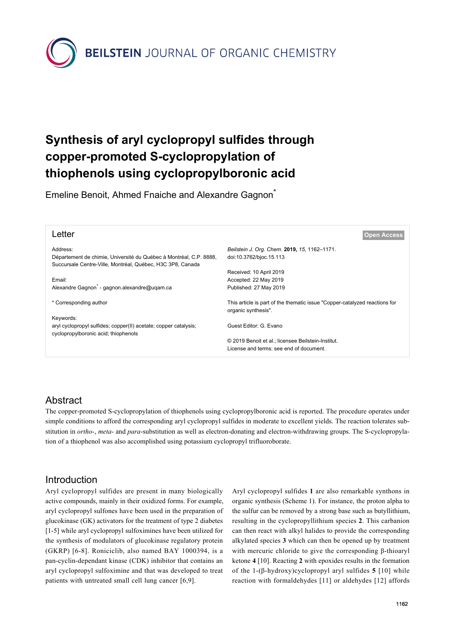**BEILSTEIN** JOURNAL OF ORGANIC CHEMISTRY

# **Synthesis of aryl cyclopropyl sulfides through copper-promoted S-cyclopropylation of thiophenols using cyclopropylboronic acid**

Emeline Benoit, Ahmed Fnaiche and Alexandre Gagnon<sup>\*</sup>

| <b>Open Access</b>                                                         |
|----------------------------------------------------------------------------|
| Beilstein J. Org. Chem. 2019, 15, 1162-1171.                               |
| doi:10.3762/bjoc.15.113                                                    |
|                                                                            |
| Received: 10 April 2019                                                    |
| Accepted: 22 May 2019                                                      |
| Published: 27 May 2019                                                     |
|                                                                            |
| This article is part of the thematic issue "Copper-catalyzed reactions for |
| organic synthesis".                                                        |
|                                                                            |
| Guest Editor: G. Evano                                                     |
|                                                                            |
| © 2019 Benoit et al.; licensee Beilstein-Institut.                         |
| License and terms: see end of document.                                    |
|                                                                            |

## Abstract

The copper-promoted S-cyclopropylation of thiophenols using cyclopropylboronic acid is reported. The procedure operates under simple conditions to afford the corresponding aryl cyclopropyl sulfides in moderate to excellent yields. The reaction tolerates substitution in *ortho-*, *meta-* and *para*-substitution as well as electron-donating and electron-withdrawing groups. The S-cyclopropylation of a thiophenol was also accomplished using potassium cyclopropyl trifluoroborate.

## Introduction

Aryl cyclopropyl sulfides are present in many biologically active compounds, mainly in their oxidized forms. For example, aryl cyclopropyl sulfones have been used in the preparation of glucokinase (GK) activators for the treatment of type 2 diabetes [\[1-5\]](#page-7-0) while aryl cyclopropyl sulfoximines have been utilized for the synthesis of modulators of glucokinase regulatory protein (GKRP) [\[6-8\]](#page-7-1). Roniciclib, also named BAY 1000394, is a pan-cyclin-dependant kinase (CDK) inhibitor that contains an aryl cyclopropyl sulfoximine and that was developed to treat patients with untreated small cell lung cancer [\[6,9\].](#page-7-1)

Aryl cyclopropyl sulfides **1** are also remarkable synthons in organic synthesis ([Scheme 1](#page-1-0)). For instance, the proton alpha to the sulfur can be removed by a strong base such as butyllithium, resulting in the cyclopropyllithium species **2**. This carbanion can then react with alkyl halides to provide the corresponding alkylated species **3** which can then be opened up by treatment with mercuric chloride to give the corresponding β-thioaryl ketone **4** [\[10\]](#page-7-2). Reacting **2** with epoxides results in the formation of the 1-(β-hydroxy)cyclopropyl aryl sulfides **5** [\[10\]](#page-7-2) while reaction with formaldehydes [\[11\]](#page-7-3) or aldehydes [\[12\]](#page-7-4) affords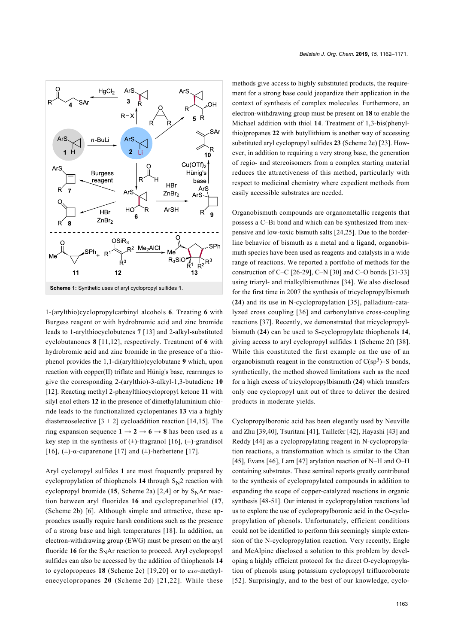<span id="page-1-0"></span>

1-(arylthio)cyclopropylcarbinyl alcohols **6**. Treating **6** with Burgess reagent or with hydrobromic acid and zinc bromide leads to 1-arylthiocyclobutenes **7** [\[13\]](#page-7-5) and 2-alkyl-substituted cyclobutanones **8** [\[11,12\]](#page-7-3), respectively. Treatment of **6** with hydrobromic acid and zinc bromide in the presence of a thiophenol provides the 1,1-di(arylthio)cyclobutane **9** which, upon reaction with copper(II) triflate and Hünig's base, rearranges to give the corresponding 2-(arylthio)-3-alkyl-1,3-butadiene **10** [\[12\].](#page-7-4) Reacting methyl 2-phenylthiocyclopropyl ketone **11** with silyl enol ethers **12** in the presence of dimethylaluminium chloride leads to the functionalized cyclopentanes **13** via a highly diastereoselective  $[3 + 2]$  cycloaddition reaction  $[14, 15]$ . The ring expansion sequence  $1 \rightarrow 2 \rightarrow 6 \rightarrow 8$  has been used as a key step in the synthesis of  $(\pm)$ -fragranol [\[16\]](#page-7-7),  $(\pm)$ -grandisol [\[16\]](#page-7-7),  $(\pm)$ -α-cuparenone [\[17\]](#page-8-0) and  $(\pm)$ -herbertene [\[17\].](#page-8-0)

Aryl cycloropyl sulfides **1** are most frequently prepared by cyclopropylation of thiophenols  $14$  through  $S_N2$  reaction with cyclopropyl bromide  $(15,$  [Scheme 2a\)](#page-2-0)  $[2,4]$  or by S<sub>N</sub>Ar reaction between aryl fluorides **16** and cyclopropanethiol (**17**, ([Scheme 2b](#page-2-0)) [\[6\].](#page-7-1) Although simple and attractive, these approaches usually require harsh conditions such as the presence of a strong base and high temperatures [\[18\]](#page-8-1). In addition, an electron-withdrawing group (EWG) must be present on the aryl fluoride  $16$  for the S<sub>N</sub>Ar reaction to proceed. Aryl cyclopropyl sulfides can also be accessed by the addition of thiophenols **14** to cyclopropenes **18** [\(Scheme 2c\)](#page-2-0) [\[19,20\]](#page-8-2) or to *exo*-methylenecyclopropanes **20** ([Scheme 2d](#page-2-0)) [\[21,22\]](#page-8-3). While these

methods give access to highly substituted products, the requirement for a strong base could jeopardize their application in the context of synthesis of complex molecules. Furthermore, an electron-withdrawing group must be present on **18** to enable the Michael addition with thiol **14**. Treatment of 1,3-bis(phenylthio)propanes **22** with butyllithium is another way of accessing substituted aryl cyclopropyl sulfides **23** ([Scheme 2e](#page-2-0)) [\[23\]](#page-8-4). However, in addition to requiring a very strong base, the generation of regio- and stereoisomers from a complex starting material reduces the attractiveness of this method, particularly with respect to medicinal chemistry where expedient methods from easily accessible substrates are needed.

Organobismuth compounds are organometallic reagents that possess a C–Bi bond and which can be synthesized from inexpensive and low-toxic bismuth salts [\[24,25\]](#page-8-5). Due to the borderline behavior of bismuth as a metal and a ligand, organobismuth species have been used as reagents and catalysts in a wide range of reactions. We reported a portfolio of methods for the construction of C–C [\[26-29\]](#page-8-6), C–N [\[30\]](#page-8-7) and C–O bonds [\[31-33\]](#page-8-8) using triaryl- and trialkylbismuthines [\[34\]](#page-8-9). We also disclosed for the first time in 2007 the synthesis of tricyclopropylbismuth (**24**) and its use in N-cyclopropylation [\[35\]](#page-8-10), palladium-catalyzed cross coupling [\[36\]](#page-8-11) and carbonylative cross-coupling reactions [\[37\]](#page-8-12). Recently, we demonstrated that tricyclopropylbismuth (**24**) can be used to S-cyclopropylate thiophenols **14**, giving access to aryl cyclopropyl sulfides **1** [\(Scheme 2f\)](#page-2-0) [\[38\]](#page-8-13). While this constituted the first example on the use of an organobismuth reagent in the construction of  $C(sp^3)$ –S bonds, synthetically, the method showed limitations such as the need for a high excess of tricyclopropylbismuth (**24**) which transfers only one cyclopropyl unit out of three to deliver the desired products in moderate yields.

Cyclopropylboronic acid has been elegantly used by Neuville and Zhu [\[39,40\],](#page-8-14) Tsuritani [\[41\]](#page-8-15), Taillefer [\[42\],](#page-8-16) Hayashi [\[43\]](#page-8-17) and Reddy [\[44\]](#page-8-18) as a cyclopropylating reagent in N-cyclopropylation reactions, a transformation which is similar to the Chan [\[45\],](#page-8-19) Evans [\[46\],](#page-8-20) Lam [\[47\]](#page-8-21) arylation reaction of N–H and O–H containing substrates. These seminal reports greatly contributed to the synthesis of cyclopropylated compounds in addition to expanding the scope of copper-catalyzed reactions in organic synthesis [\[48-51\]](#page-8-22). Our interest in cyclopropylation reactions led us to explore the use of cyclopropylboronic acid in the O-cyclopropylation of phenols. Unfortunately, efficient conditions could not be identified to perform this seemingly simple extension of the N-cyclopropylation reaction. Very recently, Engle and McAlpine disclosed a solution to this problem by developing a highly efficient protocol for the direct O-cyclopropylation of phenols using potassium cyclopropyl trifluoroborate [\[52\]](#page-8-23). Surprisingly, and to the best of our knowledge, cyclo-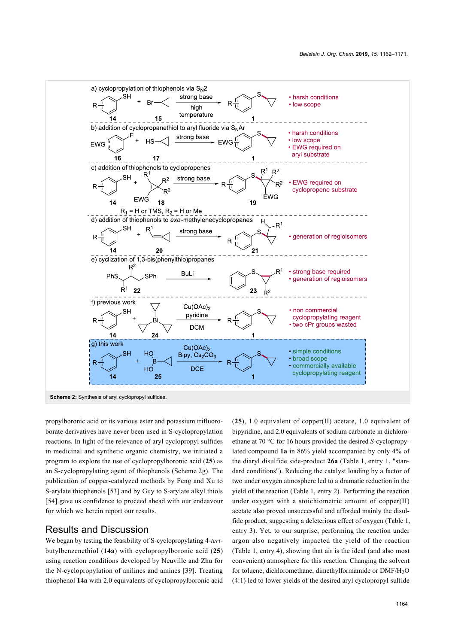<span id="page-2-0"></span>

propylboronic acid or its various ester and potassium trifluoroborate derivatives have never been used in S-cyclopropylation reactions. In light of the relevance of aryl cyclopropyl sulfides in medicinal and synthetic organic chemistry, we initiated a program to explore the use of cyclopropylboronic acid (**25**) as an S-cyclopropylating agent of thiophenols ([Scheme 2g\)](#page-2-0). The publication of copper-catalyzed methods by Feng and Xu to S-arylate thiophenols [\[53\]](#page-8-24) and by Guy to S-arylate alkyl thiols [\[54\]](#page-8-25) gave us confidence to proceed ahead with our endeavour for which we herein report our results.

### Results and Discussion

We began by testing the feasibility of S-cyclopropylating 4-*tert*butylbenzenethiol (**14a**) with cyclopropylboronic acid (**25**) using reaction conditions developed by Neuville and Zhu for the N-cyclopropylation of anilines and amines [\[39\]](#page-8-14). Treating thiophenol **14a** with 2.0 equivalents of cyclopropylboronic acid (**25**), 1.0 equivalent of copper(II) acetate, 1.0 equivalent of bipyridine, and 2.0 equivalents of sodium carbonate in dichloroethane at 70 °C for 16 hours provided the desired *S*-cyclopropylated compound **1a** in 86% yield accompanied by only 4% of the diaryl disulfide side-product **26a** ([Table 1](#page-3-0), entry 1, "standard conditions"). Reducing the catalyst loading by a factor of two under oxygen atmosphere led to a dramatic reduction in the yield of the reaction ([Table 1](#page-3-0), entry 2). Performing the reaction under oxygen with a stoichiometric amount of copper(II) acetate also proved unsuccessful and afforded mainly the disulfide product, suggesting a deleterious effect of oxygen ([Table 1](#page-3-0), entry 3). Yet, to our surprise, performing the reaction under argon also negatively impacted the yield of the reaction ([Table 1,](#page-3-0) entry 4), showing that air is the ideal (and also most convenient) atmosphere for this reaction. Changing the solvent for toluene, dichloromethane, dimethylformamide or DMF/H<sub>2</sub>O (4:1) led to lower yields of the desired aryl cyclopropyl sulfide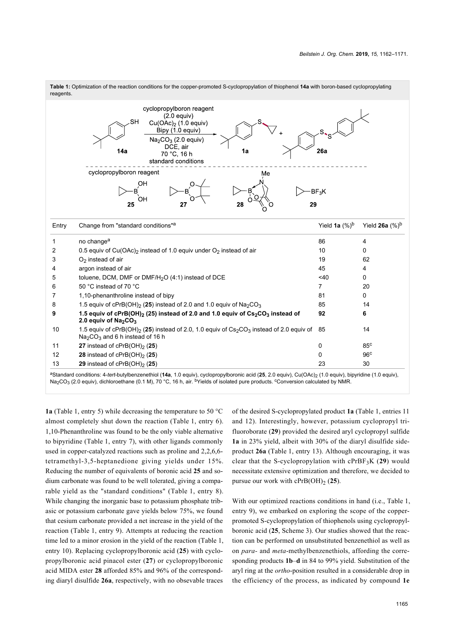<span id="page-3-0"></span>

<sup>a</sup>Standard conditions: 4-tert-butylbenzenethiol (14a, 1.0 equiv), cyclopropylboronic acid (25, 2.0 equiv), Cu(OAc)<sub>2</sub> (1.0 equiv), bipyridine (1.0 equiv), Na<sub>2</sub>CO<sub>3</sub> (2.0 equiv), dichloroethane (0.1 M), 70 °C, 16 h, air. <sup>b</sup>Yields of isolated pure products. Conversion calculated by NMR.

**1a** [\(Table 1,](#page-3-0) entry 5) while decreasing the temperature to 50 °C almost completely shut down the reaction ([Table 1](#page-3-0), entry 6). 1,10-Phenanthroline was found to be the only viable alternative to bipyridine ([Table 1,](#page-3-0) entry 7), with other ligands commonly used in copper-catalyzed reactions such as proline and 2,2,6,6 tetramethyl-3,5-heptanedione giving yields under 15%. Reducing the number of equivalents of boronic acid **25** and sodium carbonate was found to be well tolerated, giving a comparable yield as the "standard conditions" [\(Table 1](#page-3-0), entry 8). While changing the inorganic base to potassium phosphate tribasic or potassium carbonate gave yields below 75%, we found that cesium carbonate provided a net increase in the yield of the reaction ([Table 1](#page-3-0), entry 9). Attempts at reducing the reaction time led to a minor erosion in the yield of the reaction ([Table 1](#page-3-0), entry 10). Replacing cyclopropylboronic acid (**25**) with cyclopropylboronic acid pinacol ester (**27**) or cyclopropylboronic acid MIDA ester **28** afforded 85% and 96% of the corresponding diaryl disulfide **26a**, respectively, with no obsevable traces

of the desired S-cyclopropylated product **1a** [\(Table 1](#page-3-0), entries 11 and 12). Interestingly, however, potassium cyclopropyl trifluoroborate (**29**) provided the desired aryl cyclopropyl sulfide **1a** in 23% yield, albeit with 30% of the diaryl disulfide sideproduct **26a** ([Table 1,](#page-3-0) entry 13). Although encouraging, it was clear that the S-cyclopropylation with cPrBF3K (**29**) would necessitate extensive optimization and therefore, we decided to pursue our work with  $cPrB(OH)_2$  (25).

With our optimized reactions conditions in hand (i.e., [Table 1](#page-3-0), entry 9), we embarked on exploring the scope of the copperpromoted S-cyclopropylation of thiophenols using cyclopropylboronic acid (**25**, [Scheme 3](#page-4-0)). Our studies showed that the reaction can be performed on unsubstituted benzenethiol as well as on *para-* and *meta*-methylbenzenethiols, affording the corresponding products **1b**–**d** in 84 to 99% yield. Substitution of the aryl ring at the *ortho*-position resulted in a considerable drop in the efficiency of the process, as indicated by compound **1e**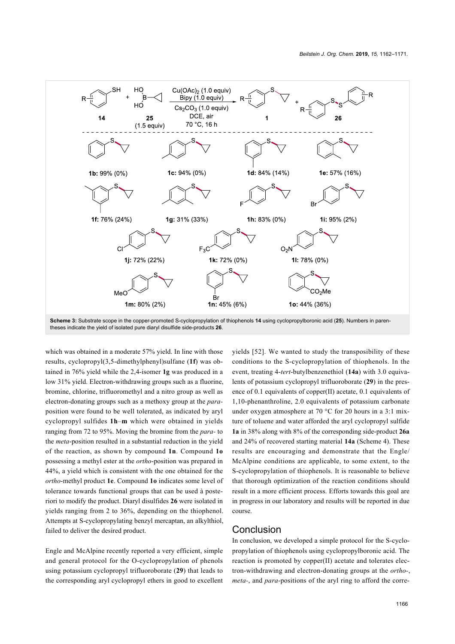<span id="page-4-0"></span>

which was obtained in a moderate 57% yield. In line with those results, cyclopropyl(3,5-dimethylphenyl)sulfane (**1f**) was obtained in 76% yield while the 2,4-isomer **1g** was produced in a low 31% yield. Electron-withdrawing groups such as a fluorine, bromine, chlorine, trifluoromethyl and a nitro group as well as electron-donating groups such as a methoxy group at the *para*position were found to be well tolerated, as indicated by aryl cyclopropyl sulfides **1h**–**m** which were obtained in yields ranging from 72 to 95%. Moving the bromine from the *para-* to the *meta*-position resulted in a substantial reduction in the yield of the reaction, as shown by compound **1n**. Compound **1o** possessing a methyl ester at the *ortho*-position was prepared in 44%, a yield which is consistent with the one obtained for the *ortho*-methyl product **1e**. Compound **1o** indicates some level of tolerance towards functional groups that can be used à posteriori to modify the product. Diaryl disulfides **26** were isolated in yields ranging from 2 to 36%, depending on the thiophenol. Attempts at S-cyclopropylating benzyl mercaptan, an alkylthiol, failed to deliver the desired product.

Engle and McAlpine recently reported a very efficient, simple and general protocol for the O-cyclopropylation of phenols using potassium cyclopropyl trifluoroborate (**29**) that leads to the corresponding aryl cyclopropyl ethers in good to excellent yields [\[52\]](#page-8-23). We wanted to study the transposibility of these conditions to the S-cyclopropylation of thiophenols. In the event, treating 4-*tert*-butylbenzenethiol (**14a**) with 3.0 equivalents of potassium cyclopropyl trifluoroborate (**29**) in the presence of 0.1 equivalents of copper(II) acetate, 0.1 equivalents of 1,10-phenanthroline, 2.0 equivalents of potassium carbonate under oxygen atmosphere at 70 °C for 20 hours in a 3:1 mixture of toluene and water afforded the aryl cyclopropyl sulfide **1a** in 38% along with 8% of the corresponding side-product **26a** and 24% of recovered starting material **14a** ([Scheme 4\)](#page-5-0). These results are encouraging and demonstrate that the Engle/ McAlpine conditions are applicable, to some extent, to the S-cyclopropylation of thiophenols. It is reasonable to believe that thorough optimization of the reaction conditions should result in a more efficient process. Efforts towards this goal are in progress in our laboratory and results will be reported in due course.

### Conclusion

In conclusion, we developed a simple protocol for the S-cyclopropylation of thiophenols using cyclopropylboronic acid. The reaction is promoted by copper(II) acetate and tolerates electron-withdrawing and electron-donating groups at the *ortho-*, *meta-*, and *para*-positions of the aryl ring to afford the corre-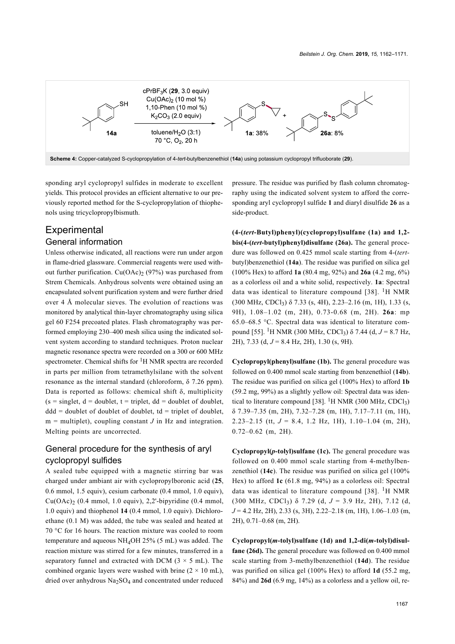<span id="page-5-0"></span>

sponding aryl cyclopropyl sulfides in moderate to excellent yields. This protocol provides an efficient alternative to our previously reported method for the S-cyclopropylation of thiophenols using tricyclopropylbismuth.

## **Experimental** General information

Unless otherwise indicated, all reactions were run under argon in flame-dried glassware. Commercial reagents were used without further purification.  $Cu(OAc)_2$  (97%) was purchased from Strem Chemicals. Anhydrous solvents were obtained using an encapsulated solvent purification system and were further dried over 4 Å molecular sieves. The evolution of reactions was monitored by analytical thin-layer chromatography using silica gel 60 F254 precoated plates. Flash chromatography was performed employing 230–400 mesh silica using the indicated solvent system according to standard techniques. Proton nuclear magnetic resonance spectra were recorded on a 300 or 600 MHz spectrometer. Chemical shifts for  ${}^{1}$ H NMR spectra are recorded in parts per million from tetramethylsilane with the solvent resonance as the internal standard (chloroform, δ 7.26 ppm). Data is reported as follows: chemical shift δ, multiplicity  $(s = singlet, d = doublet, t = triplet, dd = doublet of doublet,$  $ddd = doublet$  of doublet of doublet,  $td = triplet$  of doublet,  $m =$  multiplet), coupling constant  $J$  in Hz and integration. Melting points are uncorrected.

## General procedure for the synthesis of aryl cyclopropyl sulfides

A sealed tube equipped with a magnetic stirring bar was charged under ambiant air with cyclopropylboronic acid (**25**, 0.6 mmol, 1.5 equiv), cesium carbonate (0.4 mmol, 1.0 equiv), Cu(OAc)<sup>2</sup> (0.4 mmol, 1.0 equiv), 2,2'-bipyridine (0.4 mmol, 1.0 equiv) and thiophenol **14** (0.4 mmol, 1.0 equiv). Dichloroethane (0.1 M) was added, the tube was sealed and heated at 70 °C for 16 hours. The reaction mixture was cooled to room temperature and aqueous  $NH<sub>4</sub>OH$  25% (5 mL) was added. The reaction mixture was stirred for a few minutes, transferred in a separatory funnel and extracted with DCM  $(3 \times 5 \text{ mL})$ . The combined organic layers were washed with brine  $(2 \times 10 \text{ mL})$ , dried over anhydrous Na2SO<sup>4</sup> and concentrated under reduced

pressure. The residue was purified by flash column chromatography using the indicated solvent system to afford the corresponding aryl cyclopropyl sulfide **1** and diaryl disulfide **26** as a side-product.

**(4-(***tert***-Butyl)phenyl)(cyclopropyl)sulfane (1a) and 1,2 bis(4-(***tert***-butyl)phenyl)disulfane (26a).** The general procedure was followed on 0.425 mmol scale starting from 4-(*tert*butyl)benzenethiol (**14a**). The residue was purified on silica gel (100% Hex) to afford **1a** (80.4 mg, 92%) and **26a** (4.2 mg, 6%) as a colorless oil and a white solid, respectively. **1a**: Spectral data was identical to literature compound [\[38\]](#page-8-13). <sup>1</sup>H NMR (300 MHz, CDCl3) δ 7.33 (s, 4H), 2.23–2.16 (m, 1H), 1.33 (s, 9H), 1.08–1.02 (m, 2H), 0.73-0.68 (m, 2H). **26a**: mp 65.0–68.5 °C. Spectral data was identical to literature compound [\[55\]](#page-8-26). <sup>1</sup>H NMR (300 MHz, CDCl3) δ 7.44 (d, *J* = 8.7 Hz, 2H), 7.33 (d, *J* = 8.4 Hz, 2H), 1.30 (s, 9H).

**Cyclopropyl(phenyl)sulfane (1b).** The general procedure was followed on 0.400 mmol scale starting from benzenethiol (**14b**). The residue was purified on silica gel (100% Hex) to afford **1b** (59.2 mg, 99%) as a slightly yellow oil: Spectral data was iden-tical to literature compound [\[38\].](#page-8-13) <sup>1</sup>H NMR (300 MHz, CDCl<sub>3</sub>) δ 7.39–7.35 (m, 2H), 7.32–7.28 (m, 1H), 7.17–7.11 (m, 1H), 2.23–2.15 (tt,  $J = 8.4$ , 1.2 Hz, 1H), 1.10–1.04 (m, 2H), 0.72–0.62 (m, 2H).

**Cyclopropyl(***p***-tolyl)sulfane (1c).** The general procedure was followed on 0.400 mmol scale starting from 4-methylbenzenethiol (**14c**). The residue was purified on silica gel (100% Hex) to afford **1c** (61.8 mg, 94%) as a colorless oil: Spectral data was identical to literature compound [\[38\]](#page-8-13). <sup>1</sup>H NMR (300 MHz, CDCl<sup>3</sup> ) δ 7.29 (d, *J* = 3.9 Hz, 2H), 7.12 (d, *J* = 4.2 Hz, 2H), 2.33 (s, 3H), 2.22–2.18 (m, 1H), 1.06–1.03 (m, 2H), 0.71–0.68 (m, 2H).

**Cyclopropyl(***m***-tolyl)sulfane (1d) and 1,2-di(***m***-tolyl)disulfane (26d).** The general procedure was followed on 0.400 mmol scale starting from 3-methylbenzenethiol (**14d**). The residue was purified on silica gel (100% Hex) to afford **1d** (55.2 mg, 84%) and **26d** (6.9 mg, 14%) as a colorless and a yellow oil, re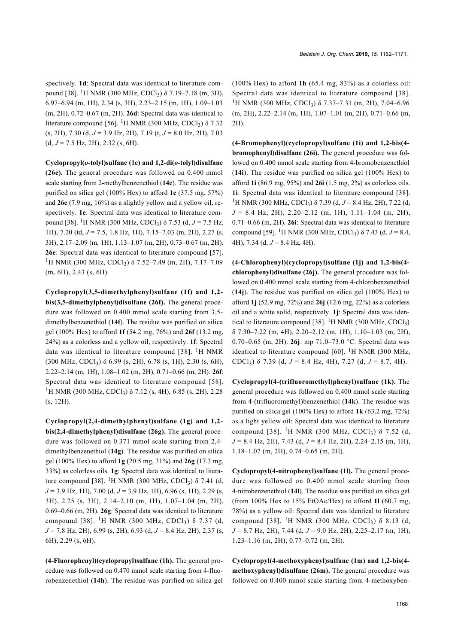spectively. **1d**: Spectral data was identical to literature com-pound [\[38\]](#page-8-13). <sup>1</sup>H NMR (300 MHz, CDCl<sub>3</sub>) δ 7.19–7.18 (m, 3H), 6.97–6.94 (m, 1H), 2.34 (s, 3H), 2.23–2.15 (m, 1H), 1.09–1.03 (m, 2H), 0.72–0.67 (m, 2H). **26d**: Spectral data was identical to literature compound [\[56\].](#page-8-27) <sup>1</sup>H NMR (300 MHz, CDCl<sub>3</sub>)  $\delta$  7.32 (s, 2H), 7.30 (d, *J* = 3.9 Hz, 2H), 7.19 (t, *J* = 8.0 Hz, 2H), 7.03  $(d, J = 7.5 \text{ Hz}, 2\text{H}), 2.32 \text{ (s, 6H)}.$ 

**Cyclopropyl(***o***-tolyl)sulfane (1e) and 1,2-di(***o***-tolyl)disulfane (26e).** The general procedure was followed on 0.400 mmol scale starting from 2-methylbenzenethiol (**14e**). The residue was purified on silica gel (100% Hex) to afford **1e** (37.5 mg, 57%) and **26e** (7.9 mg, 16%) as a slightly yellow and a yellow oil, respectively. **1e**: Spectral data was identical to literature compound [\[38\]](#page-8-13). <sup>1</sup>H NMR (300 MHz, CDCl3) δ 7.53 (d, *J* = 7.5 Hz, 1H), 7.20 (td, *J* = 7.5, 1.8 Hz, 1H), 7.15–7.03 (m, 2H), 2.27 (s, 3H), 2.17–2.09 (m, 1H), 1.13–1.07 (m, 2H), 0.73–0.67 (m, 2H). **26e**: Spectral data was identical to literature compound [\[57\]](#page-8-28). <sup>1</sup>H NMR (300 MHz, CDCl<sub>3</sub>) δ 7.52–7.49 (m, 2H), 7.17–7.09 (m, 6H), 2.43 (s, 6H).

**Cyclopropyl(3,5-dimethylphenyl)sulfane (1f) and 1,2 bis(3,5-dimethylphenyl)disulfane (26f).** The general procedure was followed on 0.400 mmol scale starting from 3,5 dimethylbenzenethiol (**14f**). The residue was purified on silica gel (100% Hex) to afford **1f** (54.2 mg, 76%) and **26f** (13.2 mg, 24%) as a colorless and a yellow oil, respectively. **1f**: Spectral data was identical to literature compound [\[38\]](#page-8-13). <sup>1</sup>H NMR  $(300 \text{ MHz}, \text{CDCl}_3)$  δ 6.99 (s, 2H), 6.78 (s, 1H), 2.30 (s, 6H), 2.22–2.14 (m, 1H), 1.08–1.02 (m, 2H), 0.71–0.66 (m, 2H). **26f**: Spectral data was identical to literature compound [\[58\]](#page-8-29). <sup>1</sup>H NMR (300 MHz, CDCl<sub>3</sub>) δ 7.12 (s, 4H), 6.85 (s, 2H), 2.28 (s, 12H).

**Cyclopropyl(2,4-dimethylphenyl)sulfane (1g) and 1,2 bis(2,4-dimethylphenyl)disulfane (26g).** The general procedure was followed on 0.371 mmol scale starting from 2,4 dimethylbenzenethiol (**14g**). The residue was purified on silica gel (100% Hex) to afford **1g** (20.5 mg, 31%) and **26g** (17.3 mg, 33%) as colorless oils. **1g**: Spectral data was identical to litera-ture compound [\[38\]](#page-8-13). <sup>1</sup>H NMR (300 MHz, CDCl<sub>3</sub>)  $\delta$  7.41 (d, *J* = 3.9 Hz, 1H), 7.00 (d, *J* = 3.9 Hz, 1H), 6.96 (s, 1H), 2.29 (s, 3H), 2.25 (s, 3H), 2.14–2.10 (m, 1H), 1.07–1.04 (m, 2H), 0.69–0.66 (m, 2H). **26g**: Spectral data was identical to literature  $compound$  [\[38\]](#page-8-13). <sup>1</sup>H NMR (300 MHz, CDCl<sub>3</sub>) δ 7.37 (d, *J* = 7.8 Hz, 2H), 6.99 (s, 2H), 6.93 (d, *J* = 8.4 Hz, 2H), 2.37 (s, 6H), 2.29 (s, 6H).

**(4-Fluorophenyl)(cyclopropyl)sulfane (1h).** The general procedure was followed on 0.470 mmol scale starting from 4-fluorobenzenethiol (**14h**). The residue was purified on silica gel (100% Hex) to afford **1h** (65.4 mg, 83%) as a colorless oil: Spectral data was identical to literature compound [\[38\]](#page-8-13). <sup>1</sup>H NMR (300 MHz, CDCl<sub>3</sub>) δ 7.37–7.31 (m, 2H), 7.04–6.96 (m, 2H), 2.22–2.14 (m, 1H), 1.07–1.01 (m, 2H), 0.71–0.66 (m, 2H).

**(4-Bromophenyl)(cyclopropyl)sulfane (1i) and 1,2-bis(4 bromophenyl)disulfane (26i).** The general procedure was followed on 0.400 mmol scale starting from 4-bromobenzenethiol (**14i**). The residue was purified on silica gel (100% Hex) to afford **1i** (86.9 mg, 95%) and **26i** (1.5 mg, 2%) as colorless oils. **1i**: Spectral data was identical to literature compound [\[38\]](#page-8-13). <sup>1</sup>H NMR (300 MHz, CDCl<sub>3</sub>) δ 7.39 (d,  $J = 8.4$  Hz, 2H), 7.22 (d,  $J = 8.4$  Hz, 2H), 2.20–2.12 (m, 1H), 1.11–1.04 (m, 2H), 0.71–0.66 (m, 2H). **26i**: Spectral data was identical to literature compound [\[59\]](#page-8-30). <sup>1</sup>H NMR (300 MHz, CDCl3) δ 7.43 (d, *J* = 8.4, 4H), 7.34 (d, *J* = 8.4 Hz, 4H).

**(4-Chlorophenyl)(cyclopropyl)sulfane (1j) and 1,2-bis(4 chlorophenyl)disulfane (26j).** The general procedure was followed on 0.400 mmol scale starting from 4-chlorobenzenethiol (**14j**). The residue was purified on silica gel (100% Hex) to afford **1j** (52.9 mg, 72%) and **26j** (12.6 mg, 22%) as a colorless oil and a white solid, respectively. **1j**: Spectral data was iden-tical to literature compound [\[38\].](#page-8-13) <sup>1</sup>H NMR (300 MHz, CDCl<sub>3</sub>)  $\delta$  7.30–7.22 (m, 4H), 2.20–2.12 (m, 1H), 1.10–1.03 (m, 2H), 0.70–0.65 (m, 2H). **26j**: mp 71.0–73.0 °C. Spectral data was identical to literature compound  $[60]$ . <sup>1</sup>H NMR (300 MHz, CDCl3) δ 7.39 (d, *J* = 8.4 Hz, 4H), 7.27 (d, *J* = 8.7, 4H).

**Cyclopropyl(4-(trifluoromethyl)phenyl)sulfane (1k).** The general procedure was followed on 0.400 mmol scale starting from 4-(trifluoromethyl)benzenethiol (**14k**). The residue was purified on silica gel (100% Hex) to afford **1k** (63.2 mg, 72%) as a light yellow oil: Spectral data was identical to literature  $compound [38]$  $compound [38]$ . <sup>1</sup>H NMR (300 MHz, CDCl<sub>3</sub>) δ 7.52 (d, *J* = 8.4 Hz, 2H), 7.43 (d, *J* = 8.4 Hz, 2H), 2.24–2.15 (m, 1H), 1.18–1.07 (m, 2H), 0.74–0.65 (m, 2H).

**Cyclopropyl(4-nitrophenyl)sulfane (1l).** The general procedure was followed on 0.400 mmol scale starting from 4-nitrobenzenethiol (**14l**). The residue was purified on silica gel (from 100% Hex to 15% EtOAc/Hex) to afford **1l** (60.7 mg, 78%) as a yellow oil: Spectral data was identical to literature  $\text{compound } [38]$  $\text{compound } [38]$ . <sup>1</sup>H NMR (300 MHz, CDCl<sub>3</sub>) δ 8.13 (d, *J* = 8.7 Hz, 2H), 7.44 (d, *J* = 9.0 Hz, 2H), 2.25–2.17 (m, 1H), 1.23–1.16 (m, 2H), 0.77–0.72 (m, 2H).

**Cyclopropyl(4-methoxyphenyl)sulfane (1m) and 1,2-bis(4 methoxyphenyl)disulfane (26m).** The general procedure was followed on 0.400 mmol scale starting from 4-methoxyben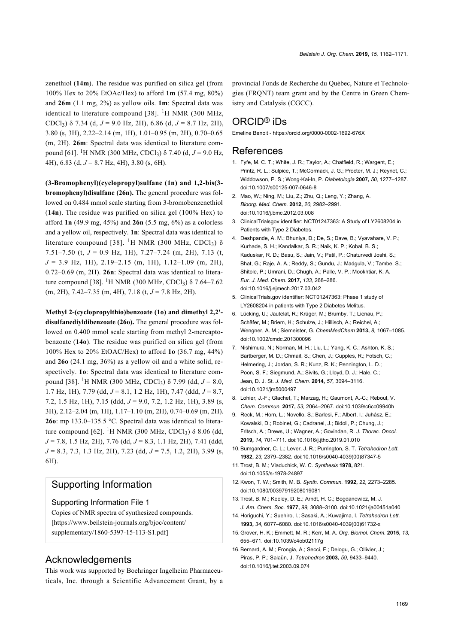zenethiol (**14m**). The residue was purified on silica gel (from 100% Hex to 20% EtOAc/Hex) to afford **1m** (57.4 mg, 80%) and **26m** (1.1 mg, 2%) as yellow oils. **1m**: Spectral data was identical to literature compound [\[38\]](#page-8-13). <sup>1</sup>H NMR (300 MHz, CDCl3) δ 7.34 (d, *J* = 9.0 Hz, 2H), 6.86 (d, *J* = 8.7 Hz, 2H), 3.80 (s, 3H), 2.22–2.14 (m, 1H), 1.01–0.95 (m, 2H), 0.70–0.65 (m, 2H). **26m**: Spectral data was identical to literature compound [\[61\]](#page-8-32). <sup>1</sup>H NMR (300 MHz, CDCl3) δ 7.40 (d, *J* = 9.0 Hz, 4H), 6.83 (d, *J* = 8.7 Hz, 4H), 3.80 (s, 6H).

**(3-Bromophenyl)(cyclopropyl)sulfane (1n) and 1,2-bis(3 bromophenyl)disulfane (26n).** The general procedure was followed on 0.484 mmol scale starting from 3-bromobenzenethiol (**14n**). The residue was purified on silica gel (100% Hex) to afford **1n** (49.9 mg, 45%) and **26n** (5.5 mg, 6%) as a colorless and a yellow oil, respectively. **1n**: Spectral data was identical to literature compound [\[38\]](#page-8-13). <sup>1</sup>H NMR (300 MHz, CDCl<sub>3</sub>)  $\delta$ 7.51–7.50 (t, *J* = 0.9 Hz, 1H), 7.27–7.24 (m, 2H), 7.13 (t, *J* = 3.9 Hz, 1H), 2.19–2.15 (m, 1H), 1.12–1.09 (m, 2H), 0.72–0.69 (m, 2H). **26n**: Spectral data was identical to litera-ture compound [\[38\].](#page-8-13) <sup>1</sup>H NMR (300 MHz, CDCl<sub>3</sub>) δ 7.64–7.62 (m, 2H), 7.42–7.35 (m, 4H), 7.18 (t, *J* = 7.8 Hz, 2H).

**Methyl 2-(cyclopropylthio)benzoate (1o) and dimethyl 2,2' disulfanediyldibenzoate (26o).** The general procedure was followed on 0.400 mmol scale starting from methyl 2-mercaptobenzoate (**14o**). The residue was purified on silica gel (from 100% Hex to 20% EtOAC/Hex) to afford **1o** (36.7 mg, 44%) and **26o** (24.1 mg, 36%) as a yellow oil and a white solid, respectively. **1o**: Spectral data was identical to literature compound [\[38\]](#page-8-13). <sup>1</sup>H NMR (300 MHz, CDCl3) δ 7.99 (dd, *J* = 8.0, 1.7 Hz, 1H), 7.79 (dd, *J* = 8.1, 1.2 Hz, 1H), 7.47 (ddd, *J* = 8.7, 7.2, 1.5 Hz, 1H), 7.15 (ddd, *J* = 9.0, 7.2, 1.2 Hz, 1H), 3.89 (s, 3H), 2.12–2.04 (m, 1H), 1.17–1.10 (m, 2H), 0.74–0.69 (m, 2H). **26o**: mp 133.0–135.5 °C. Spectral data was identical to litera-ture compound [\[62\]](#page-8-33). <sup>1</sup>H NMR (300 MHz, CDCl<sub>3</sub>) δ 8.06 (dd, *J* = 7.8, 1.5 Hz, 2H), 7.76 (dd, *J* = 8.3, 1.1 Hz, 2H), 7.41 (ddd, *J* = 8.3, 7.3, 1.3 Hz, 2H), 7.23 (dd, *J* = 7.5, 1.2, 2H), 3.99 (s, 6H).

## Supporting Information

#### Supporting Information File 1

Copies of NMR spectra of synthesized compounds. [\[https://www.beilstein-journals.org/bjoc/content/](https://www.beilstein-journals.org/bjoc/content/supplementary/1860-5397-15-113-S1.pdf) [supplementary/1860-5397-15-113-S1.pdf\]](https://www.beilstein-journals.org/bjoc/content/supplementary/1860-5397-15-113-S1.pdf)

## Acknowledgements

This work was supported by Boehringer Ingelheim Pharmaceuticals, Inc. through a Scientific Advancement Grant, by a provincial Fonds de Recherche du Québec, Nature et Technologies (FRQNT) team grant and by the Centre in Green Chemistry and Catalysis (CGCC).

## ORCID® iDs

Emeline Benoit - <https://orcid.org/0000-0002-1692-676X>

## References

- <span id="page-7-0"></span>1. Fyfe, M. C. T.; White, J. R.; Taylor, A.; Chatfield, R.; Wargent, E.; Printz, R. L.; Sulpice, T.; McCormack, J. G.; Procter, M. J.; Reynet, C.; Widdowson, P. S.; Wong-Kai-In, P. *Diabetologia* **2007,** *50,* 1277–1287. [doi:10.1007/s00125-007-0646-8](https://doi.org/10.1007%2Fs00125-007-0646-8)
- <span id="page-7-8"></span>2. Mao, W.; Ning, M.; Liu, Z.; Zhu, Q.; Leng, Y.; Zhang, A. *Bioorg. Med. Chem.* **2012,** *20,* 2982–2991. [doi:10.1016/j.bmc.2012.03.008](https://doi.org/10.1016%2Fj.bmc.2012.03.008)
- 3. ClinicalTrialsgov identifier: NCT01247363: A Study of LY2608204 in Patients with Type 2 Diabetes.
- 4. Deshpande, A. M.; Bhuniya, D.; De, S.; Dave, B.; Vyavahare, V. P.; Kurhade, S. H.; Kandalkar, S. R.; Naik, K. P.; Kobal, B. S.; Kaduskar, R. D.; Basu, S.; Jain, V.; Patil, P.; Chaturvedi Joshi, S.; Bhat, G.; Raje, A. A.; Reddy, S.; Gundu, J.; Madgula, V.; Tambe, S.; Shitole, P.; Umrani, D.; Chugh, A.; Palle, V. P.; Mookhtiar, K. A. *Eur. J. Med. Chem.* **2017,** *133,* 268–286. [doi:10.1016/j.ejmech.2017.03.042](https://doi.org/10.1016%2Fj.ejmech.2017.03.042)
- 5. ClinicalTrials.gov identifier: NCT01247363: Phase 1 study of LY2608204 in patients with Type 2 Diabetes Melitus.
- <span id="page-7-1"></span>6. Lücking, U.; Jautelat, R.; Krüger, M.; Brumby, T.; Lienau, P.; Schäfer, M.; Briem, H.; Schulze, J.; Hillisch, A.; Reichel, A.; Wengner, A. M.; Siemeister, G. *ChemMedChem* **2013,** *8,* 1067–1085. [doi:10.1002/cmdc.201300096](https://doi.org/10.1002%2Fcmdc.201300096)
- 7. Nishimura, N.; Norman, M. H.; Liu, L.; Yang, K. C.; Ashton, K. S.; Bartberger, M. D.; Chmait, S.; Chen, J.; Cupples, R.; Fotsch, C.; Helmering, J.; Jordan, S. R.; Kunz, R. K.; Pennington, L. D.; Poon, S. F.; Siegmund, A.; Sivits, G.; Lloyd, D. J.; Hale, C.; Jean, D. J. St. *J. Med. Chem.* **2014,** *57,* 3094–3116. [doi:10.1021/jm5000497](https://doi.org/10.1021%2Fjm5000497)
- 8. Lohier, J.-F.; Glachet, T.; Marzag, H.; Gaumont, A.-C.; Reboul, V. *Chem. Commun.* **2017,** *53,* 2064–2067. [doi:10.1039/c6cc09940h](https://doi.org/10.1039%2Fc6cc09940h)
- 9. Reck, M.; Horn, L.; Novello, S.; Barlesi, F.; Albert, I.; Juhász, E.; Kowalski, D.; Robinet, G.; Cadranel, J.; Bidoli, P.; Chung, J.; Fritsch, A.; Drews, U.; Wagner, A.; Govindan, R. *J. Thorac. Oncol.* **2019,** *14,* 701–711. [doi:10.1016/j.jtho.2019.01.010](https://doi.org/10.1016%2Fj.jtho.2019.01.010)
- <span id="page-7-2"></span>10.Bumgardner, C. L.; Lever, J. R.; Purrington, S. T. *Tetrahedron Lett.* **1982,** *23,* 2379–2382. [doi:10.1016/s0040-4039\(00\)87347-5](https://doi.org/10.1016%2Fs0040-4039%2800%2987347-5)
- <span id="page-7-3"></span>11.Trost, B. M.; Vladuchick, W. C. *Synthesis* **1978,** 821. [doi:10.1055/s-1978-24897](https://doi.org/10.1055%2Fs-1978-24897)
- <span id="page-7-4"></span>12.Kwon, T. W.; Smith, M. B. *Synth. Commun.* **1992,** *22,* 2273–2285. [doi:10.1080/00397919208019081](https://doi.org/10.1080%2F00397919208019081)
- <span id="page-7-5"></span>13.Trost, B. M.; Keeley, D. E.; Arndt, H. C.; Bogdanowicz, M. J. *J. Am. Chem. Soc.* **1977,** *99,* 3088–3100. [doi:10.1021/ja00451a040](https://doi.org/10.1021%2Fja00451a040)
- <span id="page-7-6"></span>14. Horiguchi, Y.; Suehiro, I.; Sasaki, A.; Kuwajima, I. *Tetrahedron Lett.* **1993,** *34,* 6077–6080. [doi:10.1016/s0040-4039\(00\)61732-x](https://doi.org/10.1016%2Fs0040-4039%2800%2961732-x)
- 15.Grover, H. K.; Emmett, M. R.; Kerr, M. A. *Org. Biomol. Chem.* **2015,** *13,* 655–671. [doi:10.1039/c4ob02117g](https://doi.org/10.1039%2Fc4ob02117g)
- <span id="page-7-7"></span>16.Bernard, A. M.; Frongia, A.; Secci, F.; Delogu, G.; Ollivier, J.; Piras, P. P.; Salaün, J. *Tetrahedron* **2003,** *59,* 9433–9440. [doi:10.1016/j.tet.2003.09.074](https://doi.org/10.1016%2Fj.tet.2003.09.074)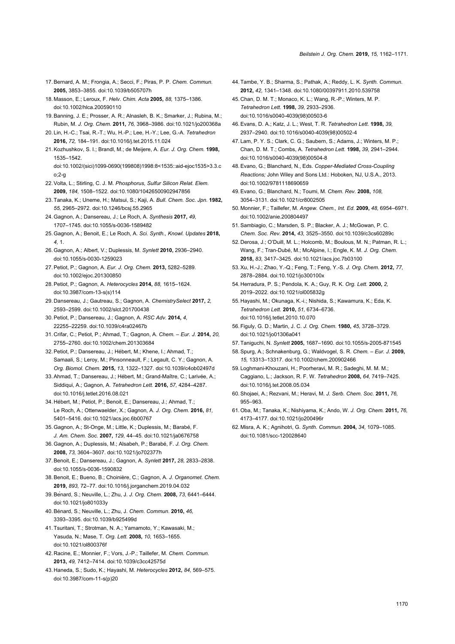- <span id="page-8-0"></span>17.Bernard, A. M.; Frongia, A.; Secci, F.; Piras, P. P. *Chem. Commun.* **2005,** 3853–3855. [doi:10.1039/b505707h](https://doi.org/10.1039%2Fb505707h)
- <span id="page-8-1"></span>18. Masson, E.; Leroux, F. *Helv. Chim. Acta* **2005,** *88,* 1375–1386. [doi:10.1002/hlca.200590110](https://doi.org/10.1002%2Fhlca.200590110)
- <span id="page-8-2"></span>19.Banning, J. E.; Prosser, A. R.; Alnasleh, B. K.; Smarker, J.; Rubina, M.; Rubin, M. *J. Org. Chem.* **2011,** *76,* 3968–3986. [doi:10.1021/jo200368a](https://doi.org/10.1021%2Fjo200368a)
- 20. Lin, H.-C.; Tsai, R.-T.; Wu, H.-P.; Lee, H.-Y.; Lee, G.-A. *Tetrahedron* **2016,** *72,* 184–191. [doi:10.1016/j.tet.2015.11.024](https://doi.org/10.1016%2Fj.tet.2015.11.024)
- <span id="page-8-3"></span>21.Kozhushkov, S. I.; Brandl, M.; de Meijere, A. *Eur. J. Org. Chem.* **1998,** 1535–1542. [doi:10.1002/\(sici\)1099-0690\(199808\)1998:8<1535::aid-ejoc1535>3.3.c](https://doi.org/10.1002%2F%28sici%291099-0690%28199808%291998%3A8%3C1535%3A%3Aaid-ejoc1535%3E3.3.co%3B2-g)
- $n<sup>2</sup> n$ 22.Volta, L.; Stirling, C. J. M. *Phosphorus, Sulfur Silicon Relat. Elem.* **2009,** *184,* 1508–1522. [doi:10.1080/10426500902947856](https://doi.org/10.1080%2F10426500902947856)
- <span id="page-8-4"></span>23.Tanaka, K.; Uneme, H.; Matsui, S.; Kaji, A. *Bull. Chem. Soc. Jpn.* **1982,** *55,* 2965–2972. [doi:10.1246/bcsj.55.2965](https://doi.org/10.1246%2Fbcsj.55.2965)
- <span id="page-8-5"></span>24.Gagnon, A.; Dansereau, J.; Le Roch, A. *Synthesis* **2017,** *49,* 1707–1745. [doi:10.1055/s-0036-1589482](https://doi.org/10.1055%2Fs-0036-1589482)
- 25.Gagnon, A.; Benoit, E.; Le Roch, A. *Sci. Synth., Knowl. Updates* **2018,** *4,* 1.
- <span id="page-8-6"></span>26.Gagnon, A.; Albert, V.; Duplessis, M. *Synlett* **2010,** 2936–2940. [doi:10.1055/s-0030-1259023](https://doi.org/10.1055%2Fs-0030-1259023)
- 27.Petiot, P.; Gagnon, A. *Eur. J. Org. Chem.* **2013,** 5282–5289. [doi:10.1002/ejoc.201300850](https://doi.org/10.1002%2Fejoc.201300850)
- 28.Petiot, P.; Gagnon, A. *Heterocycles* **2014,** *88,* 1615–1624. [doi:10.3987/com-13-s\(s\)114](https://doi.org/10.3987%2Fcom-13-s%28s%29114)
- 29. Dansereau, J.; Gautreau, S.; Gagnon, A. *ChemistrySelect* **2017,** *2,* 2593–2599. [doi:10.1002/slct.201700438](https://doi.org/10.1002%2Fslct.201700438)
- <span id="page-8-7"></span>30.Petiot, P.; Dansereau, J.; Gagnon, A. *RSC Adv.* **2014,** *4,* 22255–22259. [doi:10.1039/c4ra02467b](https://doi.org/10.1039%2Fc4ra02467b)
- <span id="page-8-8"></span>31. Crifar, C.; Petiot, P.; Ahmad, T.; Gagnon, A. *Chem. – Eur. J.* **2014,** *20,* 2755–2760. [doi:10.1002/chem.201303684](https://doi.org/10.1002%2Fchem.201303684)
- 32.Petiot, P.; Dansereau, J.; Hébert, M.; Khene, I.; Ahmad, T.; Samaali, S.; Leroy, M.; Pinsonneault, F.; Legault, C. Y.; Gagnon, A. *Org. Biomol. Chem.* **2015,** *13,* 1322–1327. [doi:10.1039/c4ob02497d](https://doi.org/10.1039%2Fc4ob02497d)
- 33.Ahmad, T.; Dansereau, J.; Hébert, M.; Grand-Maître, C.; Larivée, A.; Siddiqui, A.; Gagnon, A. *Tetrahedron Lett.* **2016,** *57,* 4284–4287. [doi:10.1016/j.tetlet.2016.08.021](https://doi.org/10.1016%2Fj.tetlet.2016.08.021)
- <span id="page-8-9"></span>34. Hébert, M.; Petiot, P.; Benoit, E.; Dansereau, J.; Ahmad, T.; Le Roch, A.; Ottenwaelder, X.; Gagnon, A. *J. Org. Chem.* **2016,** *81,* 5401–5416. [doi:10.1021/acs.joc.6b00767](https://doi.org/10.1021%2Facs.joc.6b00767)
- <span id="page-8-10"></span>35.Gagnon, A.; St-Onge, M.; Little, K.; Duplessis, M.; Barabé, F. *J. Am. Chem. Soc.* **2007,** *129,* 44–45. [doi:10.1021/ja0676758](https://doi.org/10.1021%2Fja0676758)
- <span id="page-8-11"></span>36.Gagnon, A.; Duplessis, M.; Alsabeh, P.; Barabé, F. *J. Org. Chem.* **2008,** *73,* 3604–3607. [doi:10.1021/jo702377h](https://doi.org/10.1021%2Fjo702377h)
- <span id="page-8-12"></span>37.Benoit, E.; Dansereau, J.; Gagnon, A. *Synlett* **2017,** *28,* 2833–2838. [doi:10.1055/s-0036-1590832](https://doi.org/10.1055%2Fs-0036-1590832)
- <span id="page-8-13"></span>38.Benoit, E.; Bueno, B.; Choinière, C.; Gagnon, A. *J. Organomet. Chem.* **2019,** *893,* 72–77. [doi:10.1016/j.jorganchem.2019.04.032](https://doi.org/10.1016%2Fj.jorganchem.2019.04.032)
- <span id="page-8-14"></span>39.Bénard, S.; Neuville, L.; Zhu, J. *J. Org. Chem.* **2008,** *73,* 6441–6444. [doi:10.1021/jo801033y](https://doi.org/10.1021%2Fjo801033y)
- 40.Bénard, S.; Neuville, L.; Zhu, J. *Chem. Commun.* **2010,** *46,* 3393–3395. [doi:10.1039/b925499d](https://doi.org/10.1039%2Fb925499d)
- <span id="page-8-15"></span>41.Tsuritani, T.; Strotman, N. A.; Yamamoto, Y.; Kawasaki, M.; Yasuda, N.; Mase, T. *Org. Lett.* **2008,** *10,* 1653–1655. [doi:10.1021/ol800376f](https://doi.org/10.1021%2Fol800376f)
- <span id="page-8-16"></span>42. Racine, E.; Monnier, F.; Vors, J.-P.; Taillefer, M. *Chem. Commun.* **2013,** *49,* 7412–7414. [doi:10.1039/c3cc42575d](https://doi.org/10.1039%2Fc3cc42575d)
- <span id="page-8-17"></span>43. Haneda, S.; Sudo, K.; Hayashi, M. *Heterocycles* **2012,** *84,* 569–575. [doi:10.3987/com-11-s\(p\)20](https://doi.org/10.3987%2Fcom-11-s%28p%2920)
- <span id="page-8-18"></span>44.Tambe, Y. B.; Sharma, S.; Pathak, A.; Reddy, L. K. *Synth. Commun.* **2012,** *42,* 1341–1348. [doi:10.1080/00397911.2010.539758](https://doi.org/10.1080%2F00397911.2010.539758)
- <span id="page-8-19"></span>45. Chan, D. M. T.; Monaco, K. L.; Wang, R.-P.; Winters, M. P. *Tetrahedron Lett.* **1998,** *39,* 2933–2936. [doi:10.1016/s0040-4039\(98\)00503-6](https://doi.org/10.1016%2Fs0040-4039%2898%2900503-6)
- <span id="page-8-20"></span>46.Evans, D. A.; Katz, J. L.; West, T. R. *Tetrahedron Lett.* **1998,** *39,* 2937–2940. [doi:10.1016/s0040-4039\(98\)00502-4](https://doi.org/10.1016%2Fs0040-4039%2898%2900502-4)
- <span id="page-8-21"></span>47. Lam, P. Y. S.; Clark, C. G.; Saubern, S.; Adams, J.; Winters, M. P.; Chan, D. M. T.; Combs, A. *Tetrahedron Lett.* **1998,** *39,* 2941–2944. [doi:10.1016/s0040-4039\(98\)00504-8](https://doi.org/10.1016%2Fs0040-4039%2898%2900504-8)
- <span id="page-8-22"></span>48.Evano, G.; Blanchard, N., Eds. *Copper-Mediated Cross-Coupling Reactions;* John Wiley and Sons Ltd.: Hoboken, NJ, U.S.A., 2013. [doi:10.1002/9781118690659](https://doi.org/10.1002%2F9781118690659)
- 49.Evano, G.; Blanchard, N.; Toumi, M. *Chem. Rev.* **2008,** *108,* 3054–3131. [doi:10.1021/cr8002505](https://doi.org/10.1021%2Fcr8002505)
- 50. Monnier, F.; Taillefer, M. *Angew. Chem., Int. Ed.* **2009,** *48,* 6954–6971. [doi:10.1002/anie.200804497](https://doi.org/10.1002%2Fanie.200804497)
- 51.Sambiagio, C.; Marsden, S. P.; Blacker, A. J.; McGowan, P. C. *Chem. Soc. Rev.* **2014,** *43,* 3525–3550. [doi:10.1039/c3cs60289c](https://doi.org/10.1039%2Fc3cs60289c)
- <span id="page-8-23"></span>52. Derosa, J.; O'Duill, M. L.; Holcomb, M.; Boulous, M. N.; Patman, R. L.; Wang, F.; Tran-Dubé, M.; McAlpine, I.; Engle, K. M. *J. Org. Chem.* **2018,** *83,* 3417–3425. [doi:10.1021/acs.joc.7b03100](https://doi.org/10.1021%2Facs.joc.7b03100)
- <span id="page-8-24"></span>53.Xu, H.-J.; Zhao, Y.-Q.; Feng, T.; Feng, Y.-S. *J. Org. Chem.* **2012,** *77,* 2878–2884. [doi:10.1021/jo300100x](https://doi.org/10.1021%2Fjo300100x)
- <span id="page-8-25"></span>54. Herradura, P. S.; Pendola, K. A.; Guy, R. K. *Org. Lett.* **2000,** *2,* 2019–2022. [doi:10.1021/ol005832g](https://doi.org/10.1021%2Fol005832g)
- <span id="page-8-26"></span>55. Hayashi, M.; Okunaga, K.-i.; Nishida, S.; Kawamura, K.; Eda, K. *Tetrahedron Lett.* **2010,** *51,* 6734–6736. [doi:10.1016/j.tetlet.2010.10.070](https://doi.org/10.1016%2Fj.tetlet.2010.10.070)
- <span id="page-8-27"></span>56.Figuly, G. D.; Martin, J. C. *J. Org. Chem.* **1980,** *45,* 3728–3729. [doi:10.1021/jo01306a041](https://doi.org/10.1021%2Fjo01306a041)
- <span id="page-8-28"></span>57.Taniguchi, N. *Synlett* **2005,** 1687–1690. [doi:10.1055/s-2005-871545](https://doi.org/10.1055%2Fs-2005-871545)
- <span id="page-8-29"></span>58.Spurg, A.; Schnakenburg, G.; Waldvogel, S. R. *Chem. – Eur. J.* **2009,** *15,* 13313–13317. [doi:10.1002/chem.200902466](https://doi.org/10.1002%2Fchem.200902466)
- <span id="page-8-30"></span>59. Loghmani-Khouzani, H.; Poorheravi, M. R.; Sadeghi, M. M. M.; Caggiano, L.; Jackson, R. F. W. *Tetrahedron* **2008,** *64,* 7419–7425. [doi:10.1016/j.tet.2008.05.034](https://doi.org/10.1016%2Fj.tet.2008.05.034)
- <span id="page-8-31"></span>60.Shojaei, A.; Rezvani, M.; Heravi, M. *J. Serb. Chem. Soc.* **2011,** *76,* 955–963.
- <span id="page-8-32"></span>61.Oba, M.; Tanaka, K.; Nishiyama, K.; Ando, W. *J. Org. Chem.* **2011,** *76,* 4173–4177. [doi:10.1021/jo200496r](https://doi.org/10.1021%2Fjo200496r)
- <span id="page-8-33"></span>62. Misra, A. K.; Agnihotri, G. *Synth. Commun.* **2004,** *34,* 1079–1085. [doi:10.1081/scc-120028640](https://doi.org/10.1081%2Fscc-120028640)